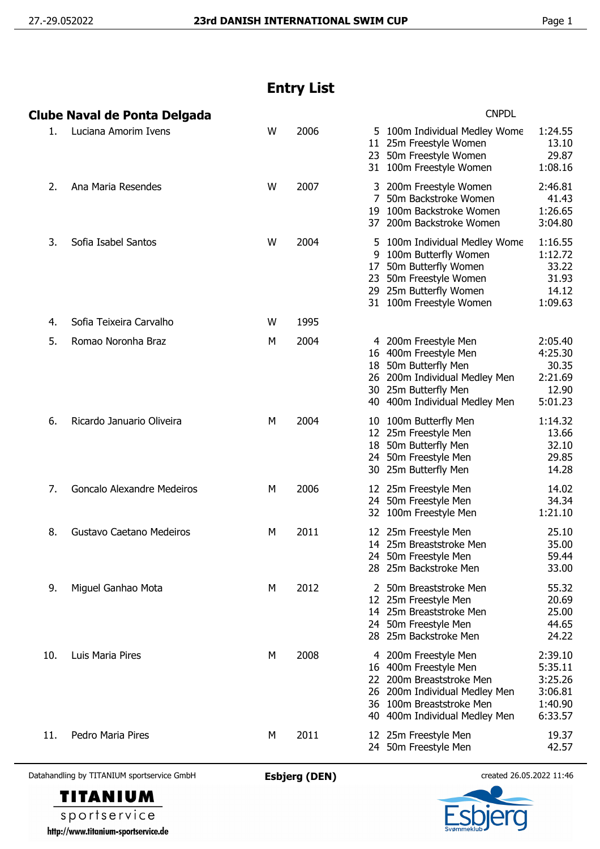## **Entry List**

|     | Clube Naval de Ponta Delgada |   |      | <b>CNPDL</b>                                                                                                                                                                                                                                 |  |  |  |
|-----|------------------------------|---|------|----------------------------------------------------------------------------------------------------------------------------------------------------------------------------------------------------------------------------------------------|--|--|--|
| 1.  | Luciana Amorim Ivens         | W | 2006 | 5 100m Individual Medley Wome<br>1:24.55<br>11 25m Freestyle Women<br>13.10<br>29.87<br>23 50m Freestyle Women<br>1:08.16<br>31 100m Freestyle Women                                                                                         |  |  |  |
| 2.  | Ana Maria Resendes           | W | 2007 | 2:46.81<br>3 200m Freestyle Women<br>50m Backstroke Women<br>41.43<br>1:26.65<br>19 100m Backstroke Women<br>37 200m Backstroke Women<br>3:04.80                                                                                             |  |  |  |
| 3.  | Sofia Isabel Santos          | W | 2004 | 1:16.55<br>5 100m Individual Medley Wome<br>100m Butterfly Women<br>1:12.72<br>9<br>17 50m Butterfly Women<br>33.22<br>23 50m Freestyle Women<br>31.93<br>29 25m Butterfly Women<br>14.12<br>1:09.63<br>31 100m Freestyle Women              |  |  |  |
| 4.  | Sofia Teixeira Carvalho      | W | 1995 |                                                                                                                                                                                                                                              |  |  |  |
| 5.  | Romao Noronha Braz           | М | 2004 | 4 200m Freestyle Men<br>2:05.40<br>4:25.30<br>16 400m Freestyle Men<br>18 50m Butterfly Men<br>30.35<br>2:21.69<br>26 200m Individual Medley Men<br>30 25m Butterfly Men<br>12.90<br>5:01.23<br>40 400m Individual Medley Men                |  |  |  |
| 6.  | Ricardo Januario Oliveira    | М | 2004 | 10 100m Butterfly Men<br>1:14.32<br>12 25m Freestyle Men<br>13.66<br>18 50m Butterfly Men<br>32.10<br>24 50m Freestyle Men<br>29.85<br>30 25m Butterfly Men<br>14.28                                                                         |  |  |  |
| 7.  | Goncalo Alexandre Medeiros   | М | 2006 | 12 25m Freestyle Men<br>14.02<br>24 50m Freestyle Men<br>34.34<br>1:21.10<br>32 100m Freestyle Men                                                                                                                                           |  |  |  |
| 8.  | Gustavo Caetano Medeiros     | М | 2011 | 25.10<br>12 25m Freestyle Men<br>14 25m Breaststroke Men<br>35.00<br>59.44<br>24 50m Freestyle Men<br>33.00<br>28 25m Backstroke Men                                                                                                         |  |  |  |
| 9.  | Miguel Ganhao Mota           | М | 2012 | 55.32<br>2 50m Breaststroke Men<br>12 25m Freestyle Men<br>20.69<br>25.00<br>14 25m Breaststroke Men<br>24 50m Freestyle Men<br>44.65<br>28 25m Backstroke Men<br>24.22                                                                      |  |  |  |
| 10. | Luis Maria Pires             | М | 2008 | 2:39.10<br>200m Freestyle Men<br>4<br>5:35.11<br>16 400m Freestyle Men<br>3:25.26<br>22 200m Breaststroke Men<br>3:06.81<br>26 200m Individual Medley Men<br>1:40.90<br>36 100m Breaststroke Men<br>6:33.57<br>40 400m Individual Medley Men |  |  |  |
| 11. | Pedro Maria Pires            | М | 2011 | 19.37<br>12 25m Freestyle Men<br>24 50m Freestyle Men<br>42.57                                                                                                                                                                               |  |  |  |

Datahandling by TITANIUM sportservice GmbH **Esbjerg (DEN)** created 26.05.2022 11:46